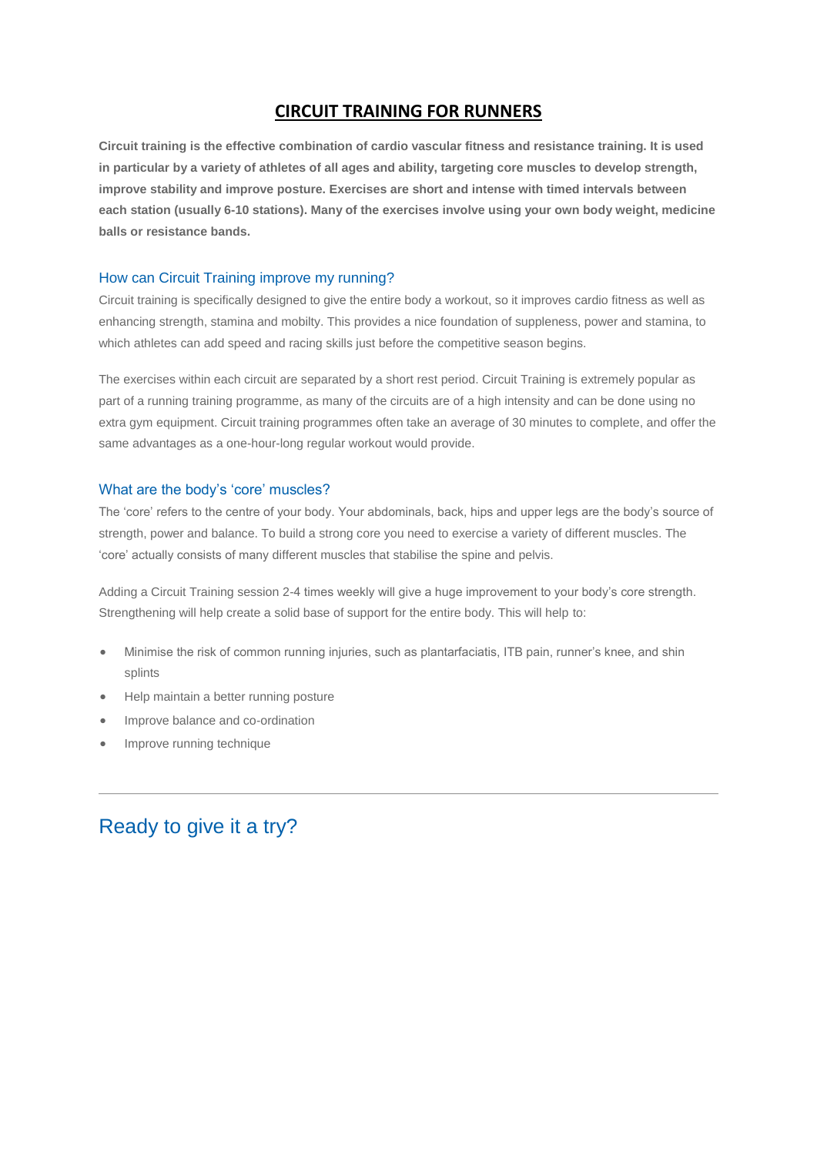## **CIRCUIT TRAINING FOR RUNNERS**

**Circuit training is the effective combination of cardio vascular fitness and resistance training. It is used in particular by a variety of athletes of all ages and ability, targeting core muscles to develop strength, improve stability and improve posture. Exercises are short and intense with timed intervals between each station (usually 6-10 stations). Many of the exercises involve using your own body weight, medicine balls or resistance bands.**

#### How can Circuit Training improve my running?

Circuit training is specifically designed to give the entire body a workout, so it improves cardio fitness as well as enhancing strength, stamina and mobilty. This provides a nice foundation of suppleness, power and stamina, to which athletes can add speed and racing skills just before the competitive season begins.

The exercises within each circuit are separated by a short rest period. Circuit Training is extremely popular as part of a running training programme, as many of the circuits are of a high intensity and can be done using no extra gym equipment. Circuit training programmes often take an average of 30 minutes to complete, and offer the same advantages as a one-hour-long regular workout would provide.

#### What are the body's 'core' muscles?

The 'core' refers to the centre of your body. Your abdominals, back, hips and upper legs are the body's source of strength, power and balance. To build a strong core you need to exercise a variety of different muscles. The 'core' actually consists of many different muscles that stabilise the spine and pelvis.

Adding a Circuit Training session 2-4 times weekly will give a huge improvement to your body's core strength. Strengthening will help create a solid base of support for the entire body. This will help to:

- Minimise the risk of common running injuries, such as plantarfaciatis, ITB pain, runner's knee, and shin splints
- Help maintain a better running posture
- Improve balance and co-ordination
- Improve running technique

# Ready to give it a try?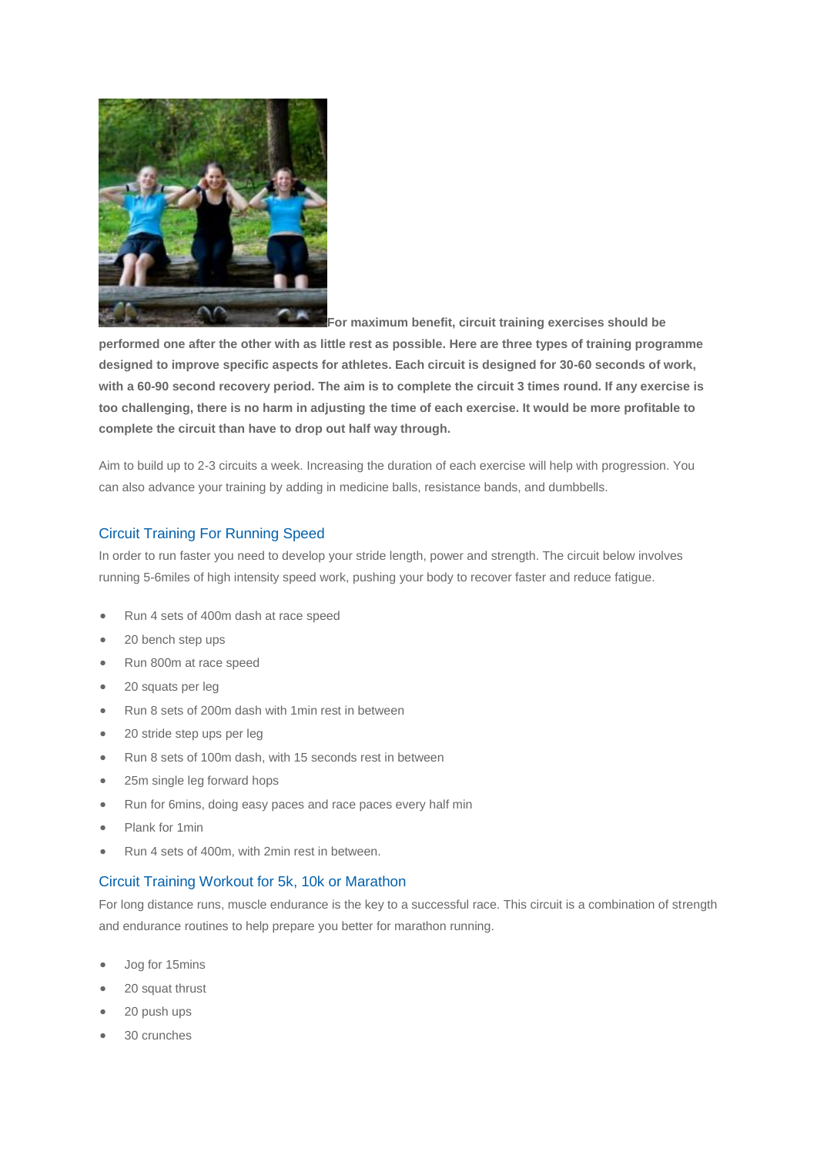

**[F](http://run.runandbecome.com/wp-content/uploads/2012/10/0312-circuit-training-2.jpg)or maximum benefit, circuit training exercises should be** 

**performed one after the other with as little rest as possible. Here are three types of training programme designed to improve specific aspects for athletes. Each circuit is designed for 30-60 seconds of work, with a 60-90 second recovery period. The aim is to complete the circuit 3 times round. If any exercise is too challenging, there is no harm in adjusting the time of each exercise. It would be more profitable to complete the circuit than have to drop out half way through.**

Aim to build up to 2-3 circuits a week. Increasing the duration of each exercise will help with progression. You can also advance your training by adding in medicine balls, resistance bands, and dumbbells.

## Circuit Training For Running Speed

In order to run faster you need to develop your stride length, power and strength. The circuit below involves running 5-6miles of high intensity speed work, pushing your body to recover faster and reduce fatigue.

- Run 4 sets of 400m dash at race speed
- 20 bench step ups
- Run 800m at race speed
- 20 squats per leg
- Run 8 sets of 200m dash with 1min rest in between
- 20 stride step ups per leg
- Run 8 sets of 100m dash, with 15 seconds rest in between
- 25m single leg forward hops
- Run for 6mins, doing easy paces and race paces every half min
- Plank for 1min
- Run 4 sets of 400m, with 2min rest in between.

### Circuit Training Workout for 5k, 10k or Marathon

For long distance runs, muscle endurance is the key to a successful race. This circuit is a combination of strength and endurance routines to help prepare you better for marathon running.

- Jog for 15mins
- 20 squat thrust
- 20 push ups
- 30 crunches